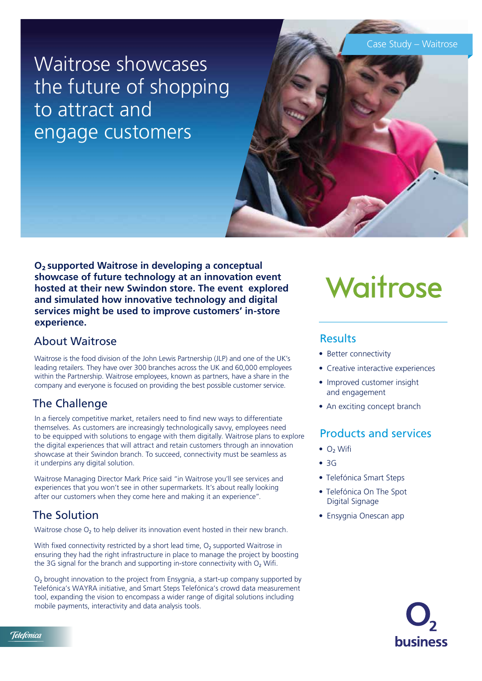Case Study – Waitrose

Waitrose showcases the future of shopping to attract and engage customers



**O**2 **supported Waitrose in developing a conceptual showcase of future technology at an innovation event hosted at their new Swindon store. The event explored and simulated how innovative technology and digital services might be used to improve customers' in-store experience.**

#### About Waitrose

Waitrose is the food division of the John Lewis Partnership (JLP) and one of the UK's leading retailers. They have over 300 branches across the UK and 60,000 employees within the Partnership. Waitrose employees, known as partners, have a share in the company and everyone is focused on providing the best possible customer service.

## The Challenge

In a fiercely competitive market, retailers need to find new ways to differentiate themselves. As customers are increasingly technologically savvy, employees need to be equipped with solutions to engage with them digitally. Waitrose plans to explore the digital experiences that will attract and retain customers through an innovation showcase at their Swindon branch. To succeed, connectivity must be seamless as it underpins any digital solution.

Waitrose Managing Director Mark Price said "in Waitrose you'll see services and experiences that you won't see in other supermarkets. It's about really looking after our customers when they come here and making it an experience".

## The Solution

Waitrose chose  $O_2$  to help deliver its innovation event hosted in their new branch.

With fixed connectivity restricted by a short lead time,  $O<sub>2</sub>$  supported Waitrose in ensuring they had the right infrastructure in place to manage the project by boosting the 3G signal for the branch and supporting in-store connectivity with  $O<sub>2</sub>$  Wifi.

O2 brought innovation to the project from Ensygnia, a start-up company supported by Telefónica's WAYRA initiative, and Smart Steps Telefónica's crowd data measurement tool, expanding the vision to encompass a wider range of digital solutions including mobile payments, interactivity and data analysis tools.

# Waitrose

#### **Results**

- Better connectivity
- Creative interactive experiences
- Improved customer insight and engagement
- An exciting concept branch

## Products and services

- $\bullet$  O<sub>2</sub> Wifi
- 3G
- Telefónica Smart Steps
- Telefónica On The Spot Digital Signage
- Ensygnia Onescan app